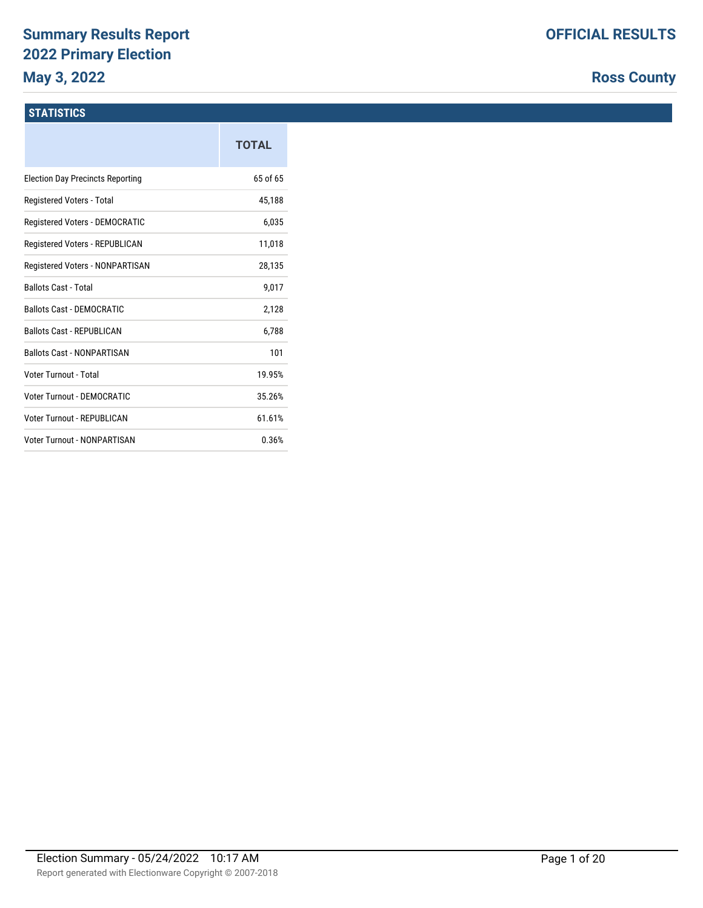# **Summary Results Report 2022 Primary Election May 3, 2022**

# **Ross County**

# **STATISTICS**

|                                         | <b>TOTAL</b> |
|-----------------------------------------|--------------|
| <b>Election Day Precincts Reporting</b> | 65 of 65     |
| Registered Voters - Total               | 45.188       |
| Registered Voters - DEMOCRATIC          | 6,035        |
| Registered Voters - REPUBLICAN          | 11,018       |
| Registered Voters - NONPARTISAN         | 28,135       |
| <b>Ballots Cast - Total</b>             | 9,017        |
| Ballots Cast - DEMOCRATIC               | 2,128        |
| <b>Ballots Cast - REPUBLICAN</b>        | 6,788        |
| <b>Ballots Cast - NONPARTISAN</b>       | 101          |
| Voter Turnout - Total                   | 19.95%       |
| Voter Turnout - DEMOCRATIC              | 35.26%       |
| Voter Turnout - REPUBLICAN              | 61.61%       |
| Voter Turnout - NONPARTISAN             | 0.36%        |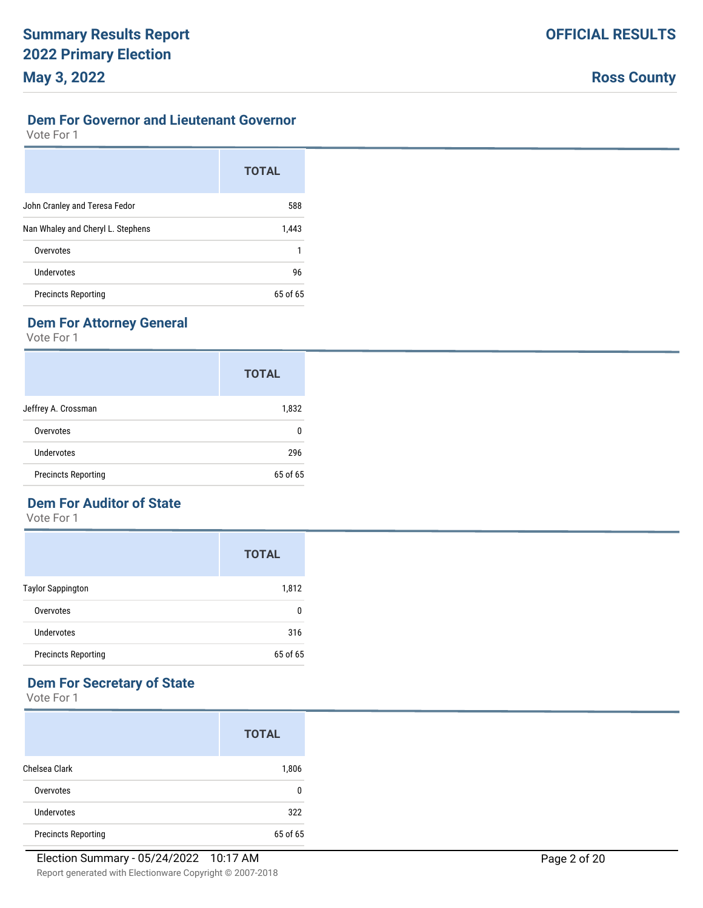#### **Dem For Governor and Lieutenant Governor**

Vote For 1

|                                   | <b>TOTAL</b> |
|-----------------------------------|--------------|
| John Cranley and Teresa Fedor     | 588          |
| Nan Whaley and Cheryl L. Stephens | 1,443        |
| Overvotes                         |              |
| Undervotes                        | 96           |
| <b>Precincts Reporting</b>        | $65$ of $65$ |

# **Dem For Attorney General**

Vote For 1

|                            | <b>TOTAL</b> |
|----------------------------|--------------|
| Jeffrey A. Crossman        | 1,832        |
| Overvotes                  | 0            |
| <b>Undervotes</b>          | 296          |
| <b>Precincts Reporting</b> | 65 of 65     |

# **Dem For Auditor of State**

Vote For 1

|                            | <b>TOTAL</b> |
|----------------------------|--------------|
| <b>Taylor Sappington</b>   | 1,812        |
| Overvotes                  | 0            |
| Undervotes                 | 316          |
| <b>Precincts Reporting</b> | 65 of 65     |

# **Dem For Secretary of State**

|                            | <b>TOTAL</b> |
|----------------------------|--------------|
| Chelsea Clark              | 1,806        |
| Overvotes                  | 0            |
| Undervotes                 | 322          |
| <b>Precincts Reporting</b> | 65 of 65     |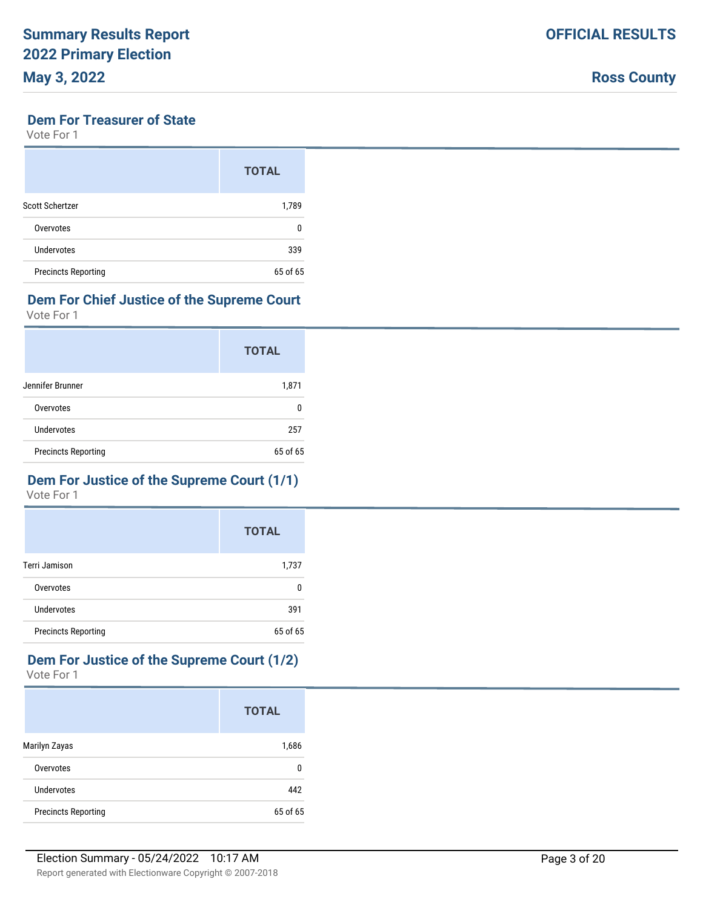#### **Dem For Treasurer of State**

Vote For 1

|                            | <b>TOTAL</b> |
|----------------------------|--------------|
| Scott Schertzer            | 1,789        |
| Overvotes                  | 0            |
| Undervotes                 | 339          |
| <b>Precincts Reporting</b> | 65 of 65     |

# **Dem For Chief Justice of the Supreme Court**

Vote For 1

|                            | <b>TOTAL</b> |
|----------------------------|--------------|
| Jennifer Brunner           | 1,871        |
| Overvotes                  | n            |
| Undervotes                 | 257          |
| <b>Precincts Reporting</b> | 65 of 65     |

#### **Dem For Justice of the Supreme Court (1/1)** Vote For 1

|                            | <b>TOTAL</b> |
|----------------------------|--------------|
| Terri Jamison              | 1,737        |
| Overvotes                  | 0            |
| Undervotes                 | 391          |
| <b>Precincts Reporting</b> | 65 of 65     |

# **Dem For Justice of the Supreme Court (1/2)**

|                            | <b>TOTAL</b> |
|----------------------------|--------------|
| Marilyn Zayas              | 1,686        |
| Overvotes                  | 0            |
| Undervotes                 | 442          |
| <b>Precincts Reporting</b> | 65 of 65     |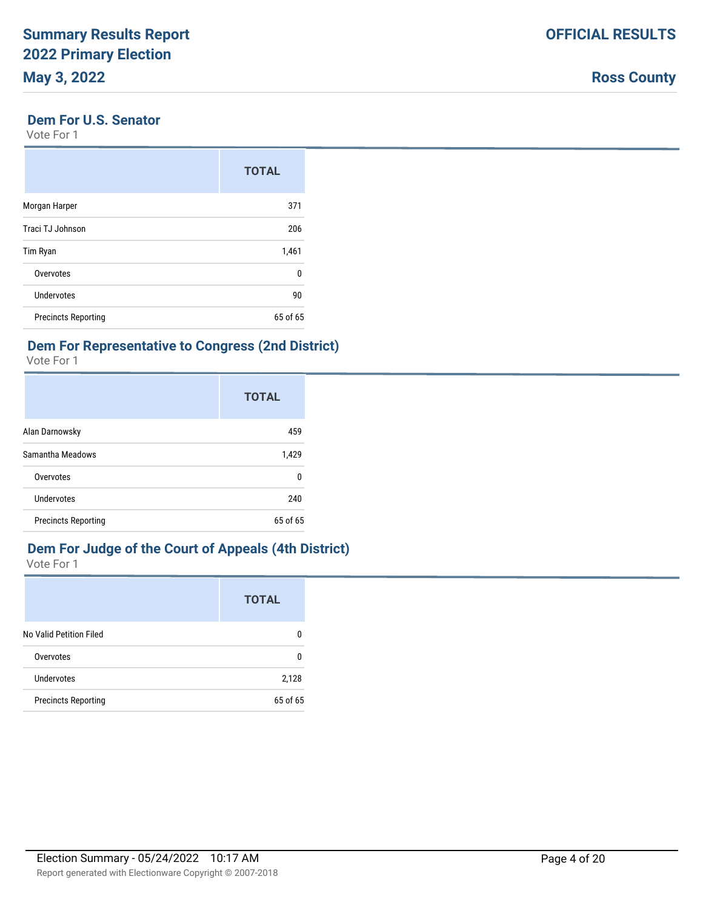|  | <b>Ross County</b> |
|--|--------------------|
|--|--------------------|

#### **Dem For U.S. Senator**

Vote For 1

|                            | <b>TOTAL</b> |
|----------------------------|--------------|
| Morgan Harper              | 371          |
| Traci TJ Johnson           | 206          |
| Tim Ryan                   | 1,461        |
| Overvotes                  | 0            |
| Undervotes                 | 90           |
| <b>Precincts Reporting</b> | 65 of 65     |

#### **Dem For Representative to Congress (2nd District)**

Vote For 1

|                            | <b>TOTAL</b> |
|----------------------------|--------------|
| Alan Darnowsky             | 459          |
| Samantha Meadows           | 1,429        |
| Overvotes                  | 0            |
| Undervotes                 | 240          |
| <b>Precincts Reporting</b> | 65 of 65     |

# **Dem For Judge of the Court of Appeals (4th District)**

|                            | <b>TOTAL</b> |
|----------------------------|--------------|
| No Valid Petition Filed    | n            |
| Overvotes                  | n            |
| Undervotes                 | 2,128        |
| <b>Precincts Reporting</b> | 65 of 65     |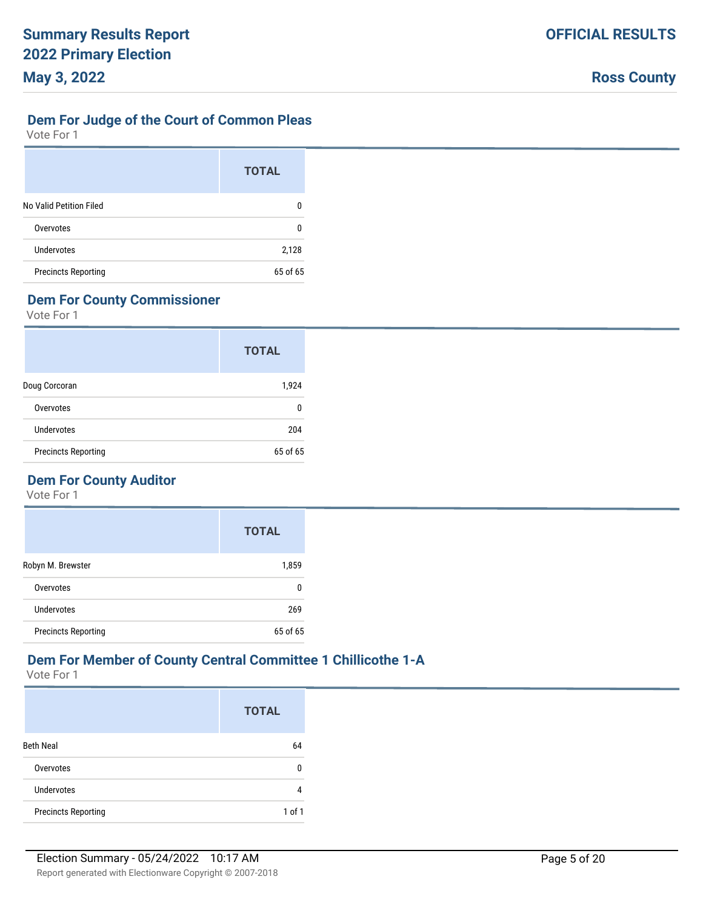#### **Dem For Judge of the Court of Common Pleas**

Vote For 1

|                            | <b>TOTAL</b> |
|----------------------------|--------------|
| No Valid Petition Filed    | n            |
| Overvotes                  | 0            |
| Undervotes                 | 2,128        |
| <b>Precincts Reporting</b> | 65 of 65     |

# **Dem For County Commissioner**

Vote For 1

|                            | <b>TOTAL</b> |
|----------------------------|--------------|
| Doug Corcoran              | 1,924        |
| Overvotes                  | n            |
| Undervotes                 | 204          |
| <b>Precincts Reporting</b> | 65 of 65     |

# **Dem For County Auditor**

Vote For 1

|                            | <b>TOTAL</b> |
|----------------------------|--------------|
| Robyn M. Brewster          | 1,859        |
| Overvotes                  | n            |
| <b>Undervotes</b>          | 269          |
| <b>Precincts Reporting</b> | 65 of 65     |

# **Dem For Member of County Central Committee 1 Chillicothe 1-A**

|                            | <b>TOTAL</b> |
|----------------------------|--------------|
| <b>Beth Neal</b>           | 64           |
| Overvotes                  | 0            |
| Undervotes                 | 4            |
| <b>Precincts Reporting</b> | $1$ of $1$   |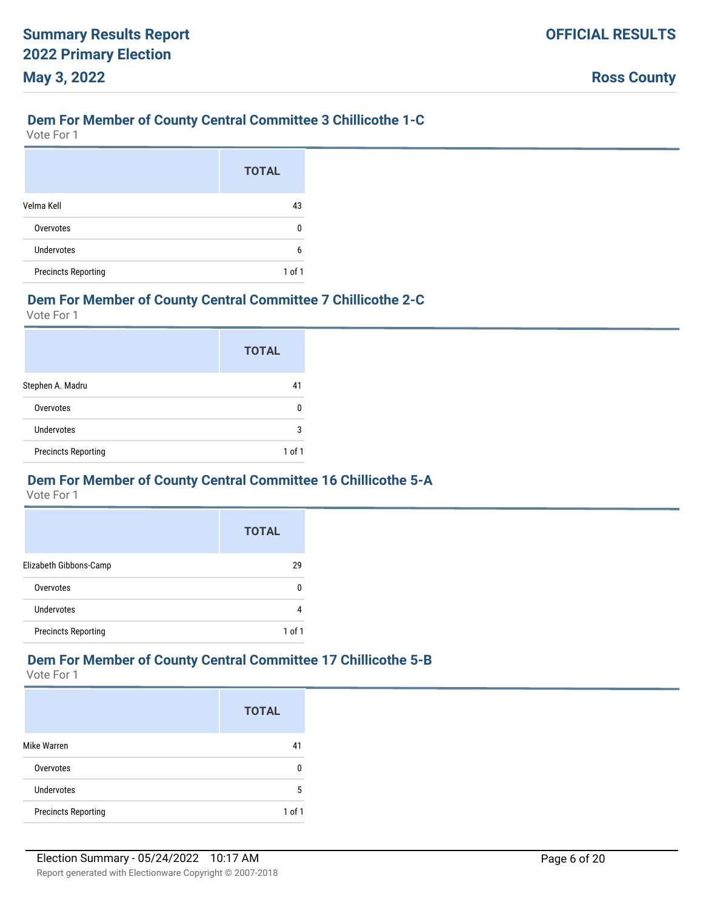#### **Dem For Member of County Central Committee 3 Chillicothe 1-C**

Vote For 1

|                            | <b>TOTAL</b> |
|----------------------------|--------------|
| Velma Kell                 | 43           |
| Overvotes                  | n            |
| Undervotes                 | 6            |
| <b>Precincts Reporting</b> | $1$ of $1$   |

#### **Dem For Member of County Central Committee 7 Chillicothe 2-C**

Vote For 1

|                            | <b>TOTAL</b> |
|----------------------------|--------------|
| Stephen A. Madru           | 41           |
| Overvotes                  | 0            |
| Undervotes                 | 3            |
| <b>Precincts Reporting</b> | 1 of 1       |

#### **Dem For Member of County Central Committee 16 Chillicothe 5-A**

Vote For 1

|                            | <b>TOTAL</b> |
|----------------------------|--------------|
| Elizabeth Gibbons-Camp     | 29           |
| Overvotes                  |              |
| Undervotes                 |              |
| <b>Precincts Reporting</b> | 1 of 1       |

#### **Dem For Member of County Central Committee 17 Chillicothe 5-B**

|                            | <b>TOTAL</b> |
|----------------------------|--------------|
| Mike Warren                | 41           |
| Overvotes                  | U            |
| Undervotes                 | 5            |
| <b>Precincts Reporting</b> | $1$ of $1$   |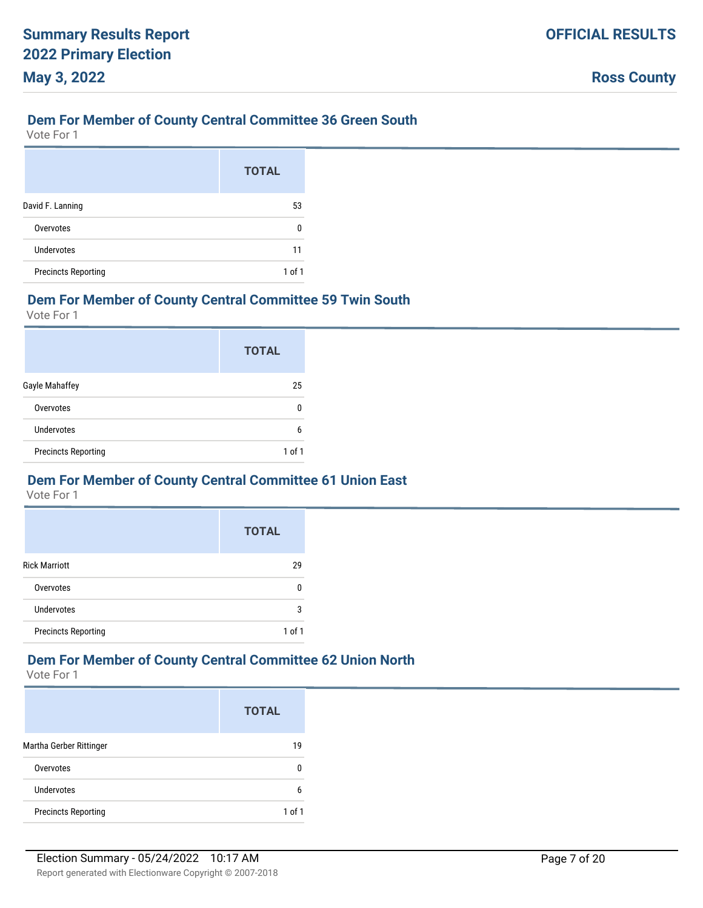#### **Dem For Member of County Central Committee 36 Green South**

Vote For 1

|                            | <b>TOTAL</b> |
|----------------------------|--------------|
| David F. Lanning           | 53           |
| Overvotes                  | n            |
| Undervotes                 | 11           |
| <b>Precincts Reporting</b> | 1 of 1       |

#### **Dem For Member of County Central Committee 59 Twin South**

Vote For 1

|                            | <b>TOTAL</b> |
|----------------------------|--------------|
| Gayle Mahaffey             | 25           |
| Overvotes                  | ŋ            |
| Undervotes                 | 6            |
| <b>Precincts Reporting</b> | 1 of 1       |

#### **Dem For Member of County Central Committee 61 Union East**

Vote For 1

|                            | <b>TOTAL</b> |
|----------------------------|--------------|
| <b>Rick Marriott</b>       | 29           |
| Overvotes                  | n            |
| <b>Undervotes</b>          | 3            |
| <b>Precincts Reporting</b> | 1 of 1       |

#### **Dem For Member of County Central Committee 62 Union North**

|                            | <b>TOTAL</b> |
|----------------------------|--------------|
| Martha Gerber Rittinger    | 19           |
| Overvotes                  |              |
| Undervotes                 | 6            |
| <b>Precincts Reporting</b> | 1 of 1       |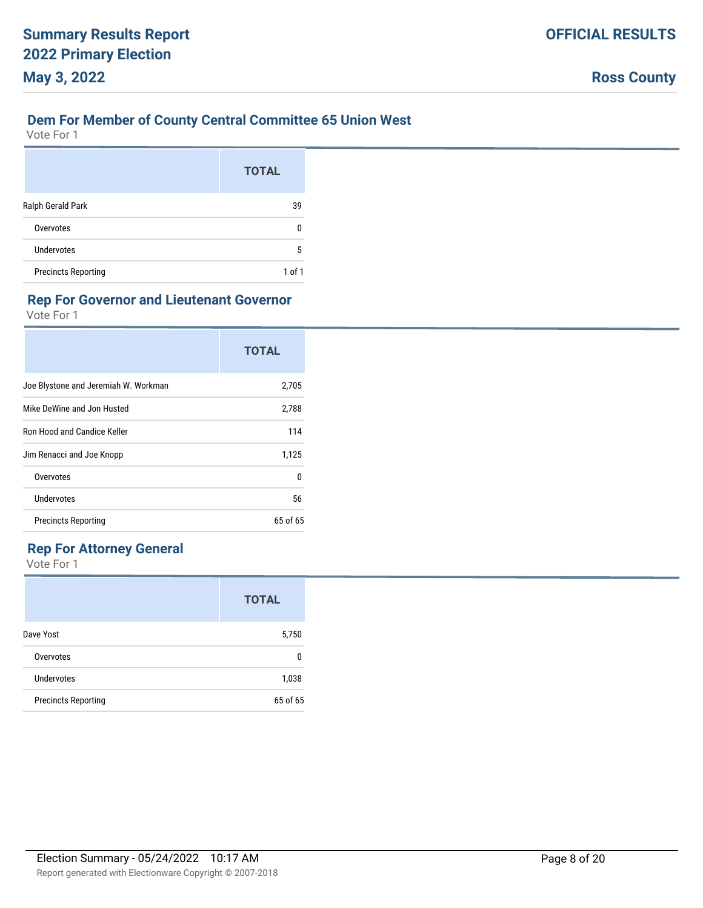#### **Dem For Member of County Central Committee 65 Union West**

Vote For 1

|                            | <b>TOTAL</b> |
|----------------------------|--------------|
| Ralph Gerald Park          | 39           |
| Overvotes                  | O            |
| Undervotes                 | 5            |
| <b>Precincts Reporting</b> | 1 of 1       |

#### **Rep For Governor and Lieutenant Governor**

Vote For 1

|                                      | <b>TOTAL</b> |
|--------------------------------------|--------------|
| Joe Blystone and Jeremiah W. Workman | 2,705        |
| Mike DeWine and Jon Husted           | 2,788        |
| Ron Hood and Candice Keller          | 114          |
| Jim Renacci and Joe Knopp            | 1,125        |
| Overvotes                            | U            |
| Undervotes                           | 56           |
| <b>Precincts Reporting</b>           | $65$ of $65$ |

#### **Rep For Attorney General**

|                            | <b>TOTAL</b> |
|----------------------------|--------------|
| Dave Yost                  | 5,750        |
| Overvotes                  | n            |
| Undervotes                 | 1,038        |
| <b>Precincts Reporting</b> | 65 of 65     |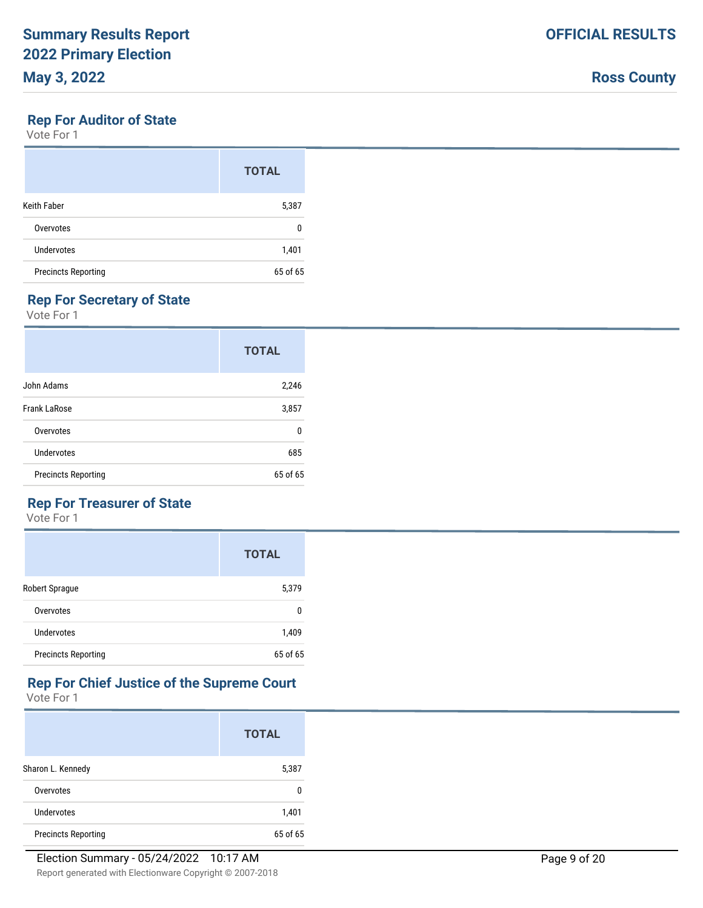# **Rep For Auditor of State**

Vote For 1

|                            | <b>TOTAL</b> |
|----------------------------|--------------|
| Keith Faber                | 5,387        |
| Overvotes                  | 0            |
| Undervotes                 | 1,401        |
| <b>Precincts Reporting</b> | 65 of 65     |

# **Rep For Secretary of State**

Vote For 1

|                            | <b>TOTAL</b> |
|----------------------------|--------------|
| John Adams                 | 2,246        |
| <b>Frank LaRose</b>        | 3,857        |
| Overvotes                  | n            |
| Undervotes                 | 685          |
| <b>Precincts Reporting</b> | 65 of 65     |

# **Rep For Treasurer of State**

Vote For 1

|                            | <b>TOTAL</b> |
|----------------------------|--------------|
| Robert Sprague             | 5,379        |
| Overvotes                  | n            |
| Undervotes                 | 1,409        |
| <b>Precincts Reporting</b> | 65 of 65     |

# **Rep For Chief Justice of the Supreme Court**

|                            | <b>TOTAL</b> |
|----------------------------|--------------|
| Sharon L. Kennedy          | 5,387        |
| Overvotes                  | n            |
| Undervotes                 | 1,401        |
| <b>Precincts Reporting</b> | 65 of 65     |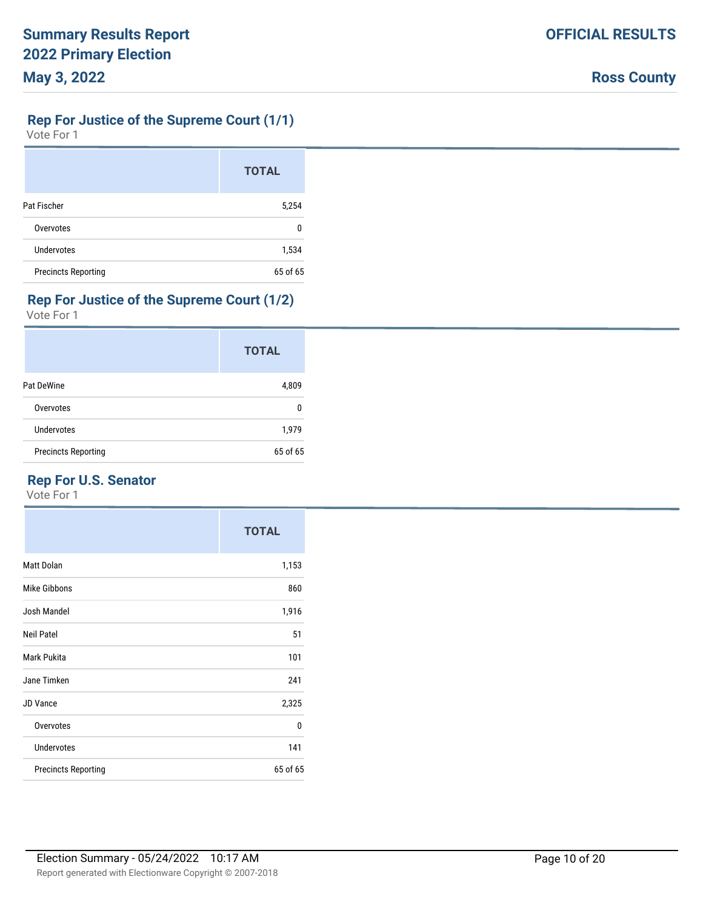# **Rep For Justice of the Supreme Court (1/1)**

Vote For 1

|                            | <b>TOTAL</b> |
|----------------------------|--------------|
| Pat Fischer                | 5,254        |
| Overvotes                  | 0            |
| <b>Undervotes</b>          | 1,534        |
| <b>Precincts Reporting</b> | 65 of 65     |

# **Rep For Justice of the Supreme Court (1/2)**

Vote For 1

|                            | <b>TOTAL</b> |
|----------------------------|--------------|
| Pat DeWine                 | 4,809        |
| Overvotes                  | 0            |
| Undervotes                 | 1,979        |
| <b>Precincts Reporting</b> | 65 of 65     |

# **Rep For U.S. Senator**

|                            | <b>TOTAL</b> |
|----------------------------|--------------|
| <b>Matt Dolan</b>          | 1,153        |
| <b>Mike Gibbons</b>        | 860          |
| Josh Mandel                | 1,916        |
| <b>Neil Patel</b>          | 51           |
| Mark Pukita                | 101          |
| Jane Timken                | 241          |
| <b>JD Vance</b>            | 2,325        |
| Overvotes                  | 0            |
| <b>Undervotes</b>          | 141          |
| <b>Precincts Reporting</b> | 65 of 65     |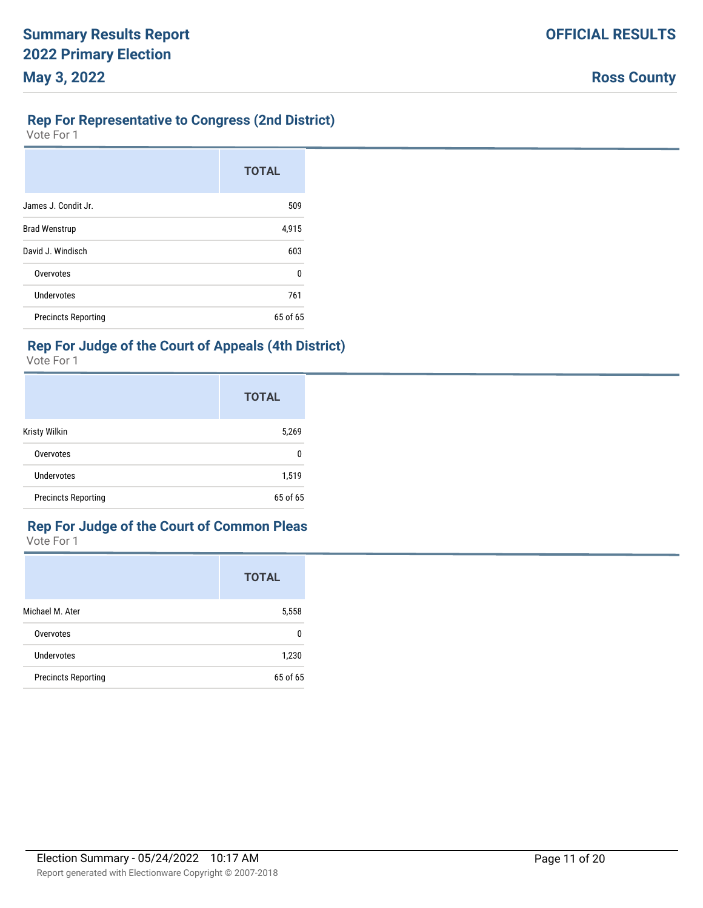#### **Rep For Representative to Congress (2nd District)**

Vote For 1

|                            | <b>TOTAL</b> |
|----------------------------|--------------|
| James J. Condit Jr.        | 509          |
| <b>Brad Wenstrup</b>       | 4,915        |
| David J. Windisch          | 603          |
| Overvotes                  | $\Omega$     |
| <b>Undervotes</b>          | 761          |
| <b>Precincts Reporting</b> | 65 of 65     |

#### **Rep For Judge of the Court of Appeals (4th District)**

Vote For 1

|                            | <b>TOTAL</b> |
|----------------------------|--------------|
| Kristy Wilkin              | 5,269        |
| Overvotes                  | 0            |
| <b>Undervotes</b>          | 1,519        |
| <b>Precincts Reporting</b> | 65 of 65     |

# **Rep For Judge of the Court of Common Pleas**

|                            | <b>TOTAL</b> |
|----------------------------|--------------|
| Michael M. Ater            | 5,558        |
| Overvotes                  | 0            |
| Undervotes                 | 1,230        |
| <b>Precincts Reporting</b> | 65 of 65     |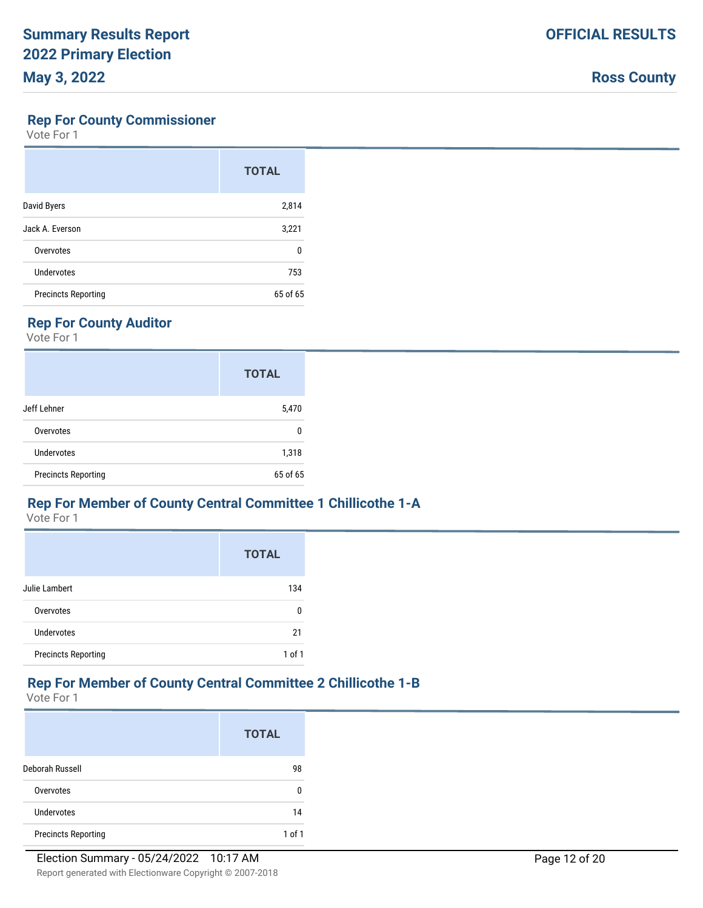#### **Rep For County Commissioner**

Vote For 1

|                            | <b>TOTAL</b> |
|----------------------------|--------------|
| David Byers                | 2,814        |
| Jack A. Everson            | 3,221        |
| Overvotes                  | 0            |
| Undervotes                 | 753          |
| <b>Precincts Reporting</b> | 65 of 65     |

# **Rep For County Auditor**

Vote For 1

|                            | <b>TOTAL</b> |
|----------------------------|--------------|
| Jeff Lehner                | 5,470        |
| Overvotes                  | 0            |
| Undervotes                 | 1,318        |
| <b>Precincts Reporting</b> | 65 of 65     |

#### **Rep For Member of County Central Committee 1 Chillicothe 1-A**

Vote For 1

|                            | <b>TOTAL</b> |
|----------------------------|--------------|
| Julie Lambert              | 134          |
| Overvotes                  | n            |
| Undervotes                 | 21           |
| <b>Precincts Reporting</b> | $1$ of $1$   |

# **Rep For Member of County Central Committee 2 Chillicothe 1-B**

|                            | <b>TOTAL</b> |
|----------------------------|--------------|
| Deborah Russell            | 98           |
| Overvotes                  | 0            |
| Undervotes                 | 14           |
| <b>Precincts Reporting</b> | 1 of 1       |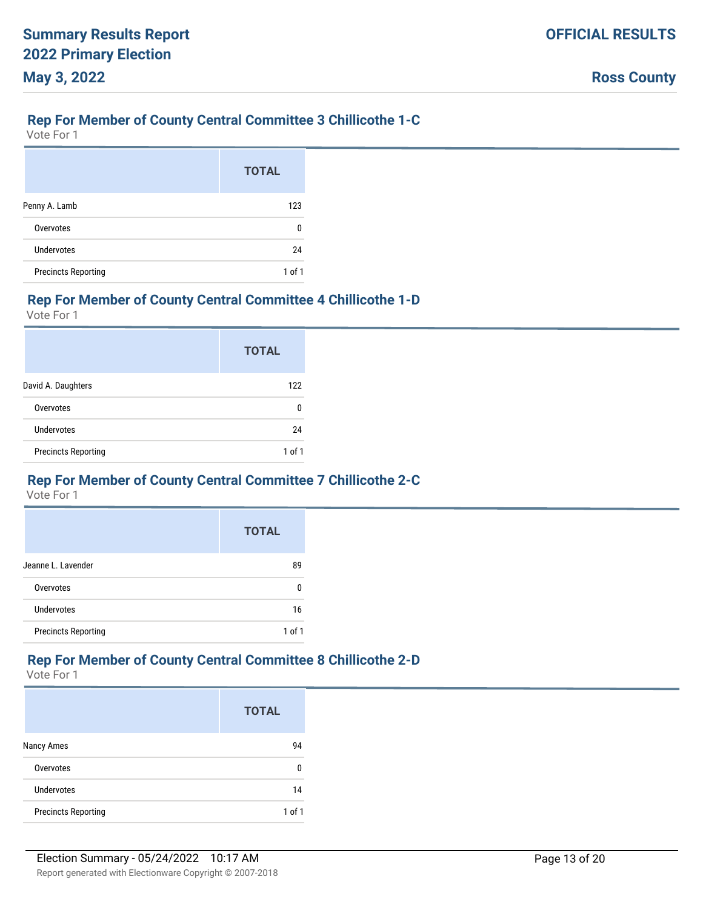#### **Rep For Member of County Central Committee 3 Chillicothe 1-C**

Vote For 1

|                            | <b>TOTAL</b> |
|----------------------------|--------------|
| Penny A. Lamb              | 123          |
| Overvotes                  | 0            |
| Undervotes                 | 24           |
| <b>Precincts Reporting</b> | $1$ of $1$   |

#### **Rep For Member of County Central Committee 4 Chillicothe 1-D**

Vote For 1

|                            | <b>TOTAL</b> |
|----------------------------|--------------|
| David A. Daughters         | 122          |
| Overvotes                  | n            |
| Undervotes                 | 24           |
| <b>Precincts Reporting</b> | 1 of 1       |

#### **Rep For Member of County Central Committee 7 Chillicothe 2-C**

Vote For 1

|                            | <b>TOTAL</b> |
|----------------------------|--------------|
| Jeanne L. Lavender         | 89           |
| Overvotes                  | n            |
| <b>Undervotes</b>          | 16           |
| <b>Precincts Reporting</b> | 1 of 1       |

#### **Rep For Member of County Central Committee 8 Chillicothe 2-D**

|                            | <b>TOTAL</b> |
|----------------------------|--------------|
| Nancy Ames                 | 94           |
| Overvotes                  | 0            |
| <b>Undervotes</b>          | 14           |
| <b>Precincts Reporting</b> | 1 of 1       |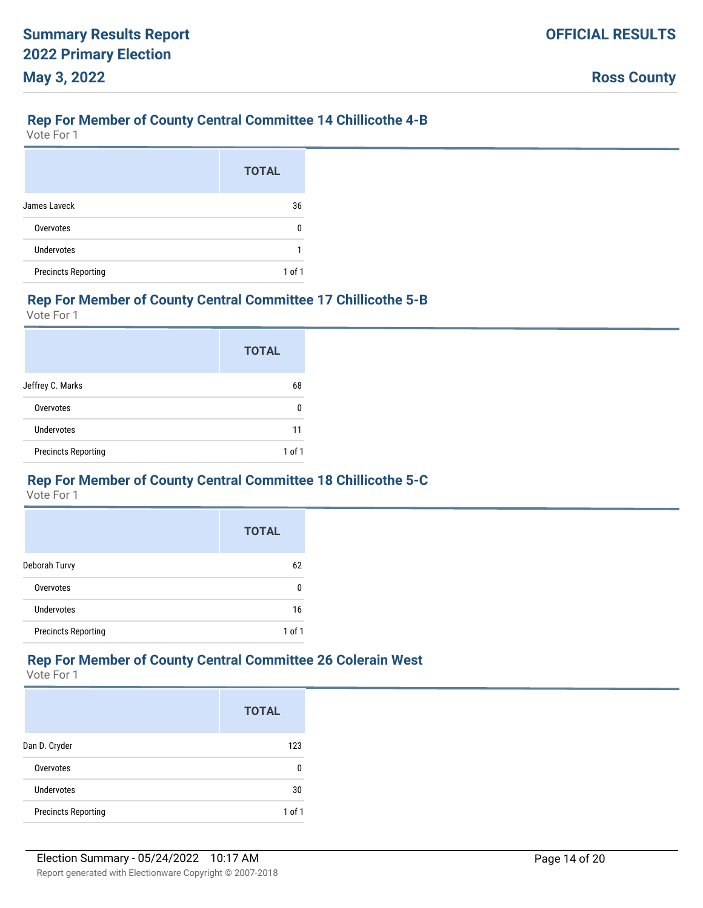#### **Rep For Member of County Central Committee 14 Chillicothe 4-B**

Vote For 1

|                            | <b>TOTAL</b> |
|----------------------------|--------------|
| James Laveck               | 36           |
| Overvotes                  | n            |
| Undervotes                 |              |
| <b>Precincts Reporting</b> | $1$ of $1$   |

#### **Rep For Member of County Central Committee 17 Chillicothe 5-B**

Vote For 1

|                            | <b>TOTAL</b> |
|----------------------------|--------------|
| Jeffrey C. Marks           | 68           |
| Overvotes                  | 0            |
| Undervotes                 | 11           |
| <b>Precincts Reporting</b> | 1 of 1       |

#### **Rep For Member of County Central Committee 18 Chillicothe 5-C**

Vote For 1

|                            | <b>TOTAL</b> |
|----------------------------|--------------|
| Deborah Turvy              | 62           |
| Overvotes                  | n            |
| <b>Undervotes</b>          | 16           |
| <b>Precincts Reporting</b> | 1 of 1       |

#### **Rep For Member of County Central Committee 26 Colerain West**

|                            | <b>TOTAL</b> |
|----------------------------|--------------|
| Dan D. Cryder              | 123          |
| Overvotes                  | n            |
| Undervotes                 | 30           |
| <b>Precincts Reporting</b> | 1 of 1       |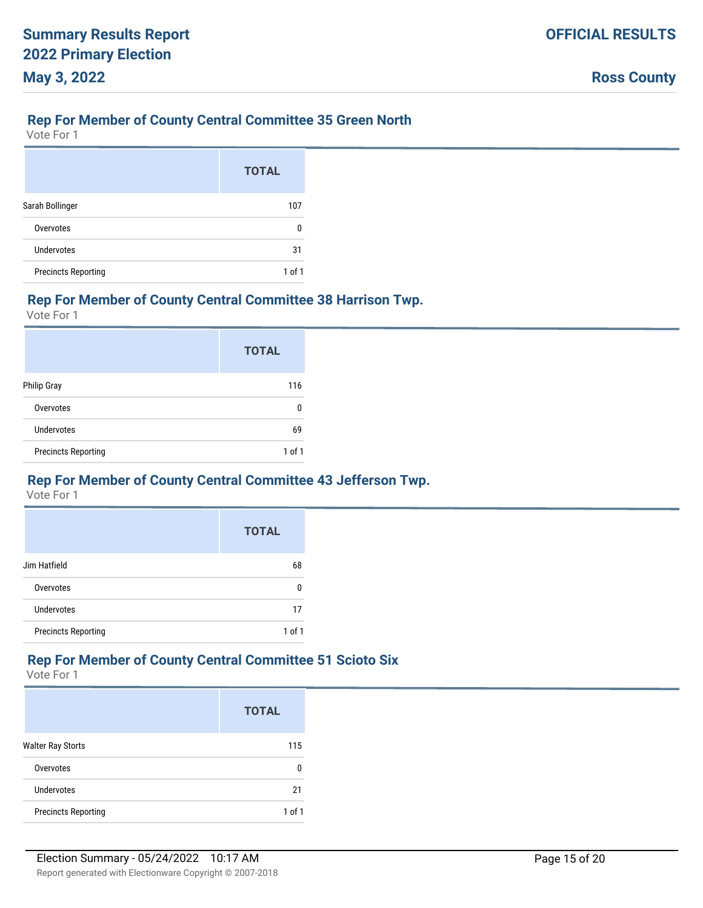#### **Rep For Member of County Central Committee 35 Green North**

Vote For 1

|                            | <b>TOTAL</b> |
|----------------------------|--------------|
| Sarah Bollinger            | 107          |
| Overvotes                  | n            |
| Undervotes                 | 31           |
| <b>Precincts Reporting</b> | 1 of 1       |

#### **Rep For Member of County Central Committee 38 Harrison Twp.**

Vote For 1

|                            | <b>TOTAL</b> |
|----------------------------|--------------|
| <b>Philip Gray</b>         | 116          |
| Overvotes                  | 0            |
| Undervotes                 | 69           |
| <b>Precincts Reporting</b> | 1 of 1       |

#### **Rep For Member of County Central Committee 43 Jefferson Twp.**

Vote For 1

|                            | <b>TOTAL</b> |
|----------------------------|--------------|
| Jim Hatfield               | 68           |
| Overvotes                  | n            |
| <b>Undervotes</b>          | 17           |
| <b>Precincts Reporting</b> | 1 of 1       |

#### **Rep For Member of County Central Committee 51 Scioto Six**

|                            | <b>TOTAL</b> |
|----------------------------|--------------|
| <b>Walter Ray Storts</b>   | 115          |
| Overvotes                  | 0            |
| Undervotes                 | 21           |
| <b>Precincts Reporting</b> | $1$ of $1$   |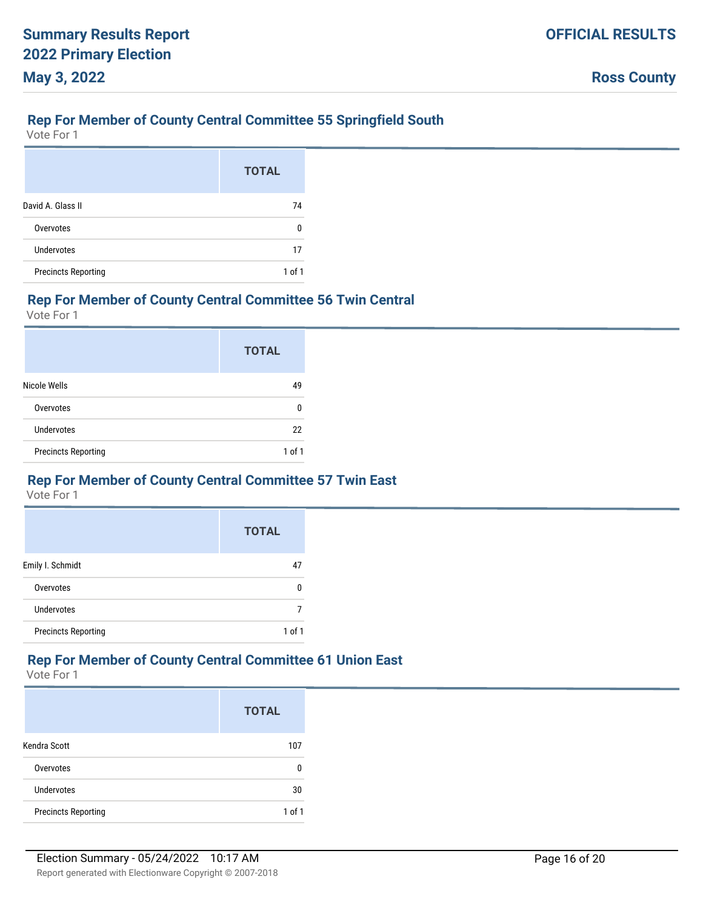#### **Rep For Member of County Central Committee 55 Springfield South**

Vote For 1

|                            | <b>TOTAL</b> |
|----------------------------|--------------|
| David A. Glass II          | 74           |
| Overvotes                  | 0            |
| Undervotes                 | 17           |
| <b>Precincts Reporting</b> | 1 of 1       |

#### **Rep For Member of County Central Committee 56 Twin Central**

Vote For 1

|                            | <b>TOTAL</b> |
|----------------------------|--------------|
| Nicole Wells               | 49           |
| Overvotes                  | n            |
| Undervotes                 | 22           |
| <b>Precincts Reporting</b> | 1 of 1       |

#### **Rep For Member of County Central Committee 57 Twin East**

Vote For 1

|                            | <b>TOTAL</b> |
|----------------------------|--------------|
| Emily I. Schmidt           | 47           |
| Overvotes                  | n            |
| Undervotes                 |              |
| <b>Precincts Reporting</b> | 1 of 1       |

#### **Rep For Member of County Central Committee 61 Union East**

|                            | <b>TOTAL</b> |
|----------------------------|--------------|
| Kendra Scott               | 107          |
| Overvotes                  | n            |
| Undervotes                 | 30           |
| <b>Precincts Reporting</b> | $1$ of $1$   |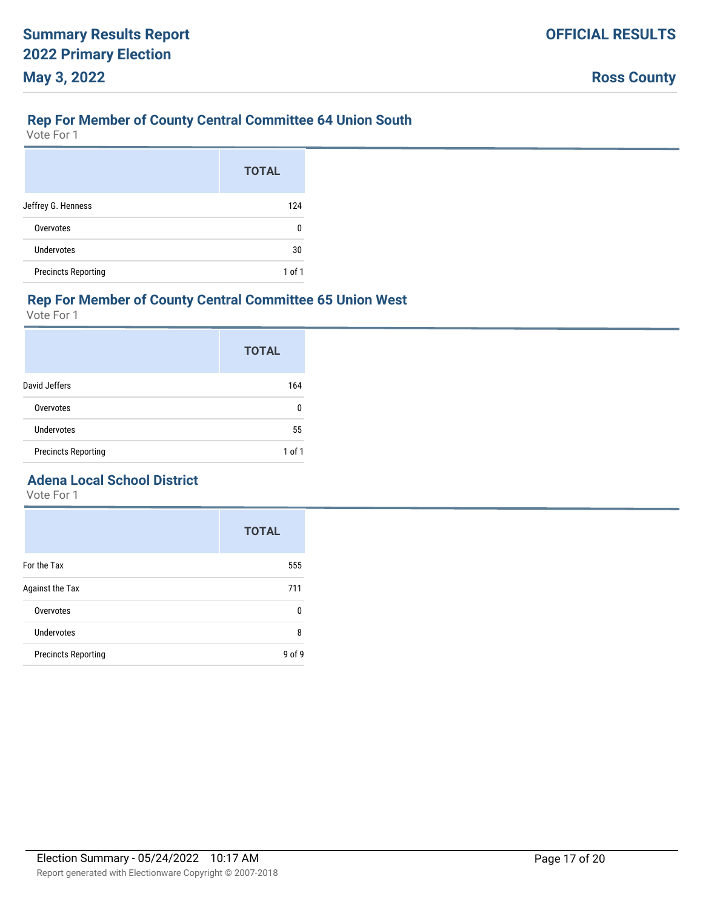#### **Rep For Member of County Central Committee 64 Union South**

Vote For 1

|                            | <b>TOTAL</b> |
|----------------------------|--------------|
| Jeffrey G. Henness         | 124          |
| Overvotes                  | 0            |
| Undervotes                 | 30           |
| <b>Precincts Reporting</b> | 1 of 1       |

#### **Rep For Member of County Central Committee 65 Union West**

Vote For 1

|                            | <b>TOTAL</b> |
|----------------------------|--------------|
| David Jeffers              | 164          |
| Overvotes                  | 0            |
| Undervotes                 | 55           |
| <b>Precincts Reporting</b> | 1 of 1       |

# **Adena Local School District**

|                            | <b>TOTAL</b> |
|----------------------------|--------------|
| For the Tax                | 555          |
| Against the Tax            | 711          |
| Overvotes                  | 0            |
| <b>Undervotes</b>          | 8            |
| <b>Precincts Reporting</b> | f 9،<br>۹ ი  |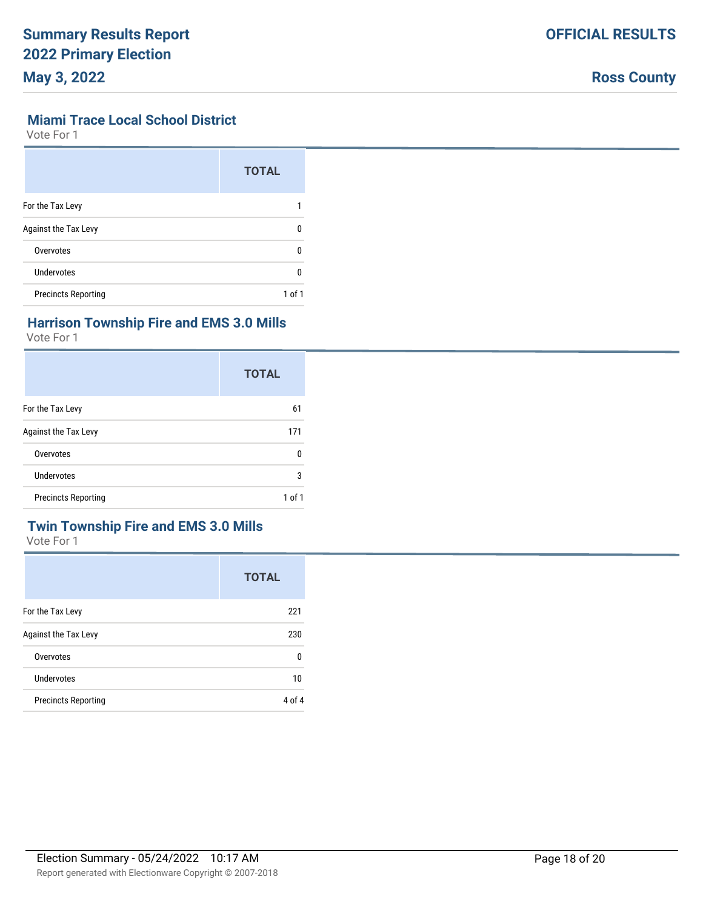#### **Miami Trace Local School District**

Vote For 1

|                            | <b>TOTAL</b> |
|----------------------------|--------------|
| For the Tax Levy           |              |
| Against the Tax Levy       | n            |
| Overvotes                  | 0            |
| Undervotes                 | n            |
| <b>Precincts Reporting</b> | 1 of 1       |

# **Harrison Township Fire and EMS 3.0 Mills**

Vote For 1

|                             | <b>TOTAL</b> |
|-----------------------------|--------------|
| For the Tax Levy            | 61           |
| <b>Against the Tax Levy</b> | 171          |
| Overvotes                   | U            |
| Undervotes                  | 3            |
| <b>Precincts Reporting</b>  | 1 of 1       |

# **Twin Township Fire and EMS 3.0 Mills**

|                             | <b>TOTAL</b> |
|-----------------------------|--------------|
| For the Tax Levy            | 221          |
| <b>Against the Tax Levy</b> | 230          |
| Overvotes                   | 0            |
| Undervotes                  | 10           |
| <b>Precincts Reporting</b>  | 4 of 4       |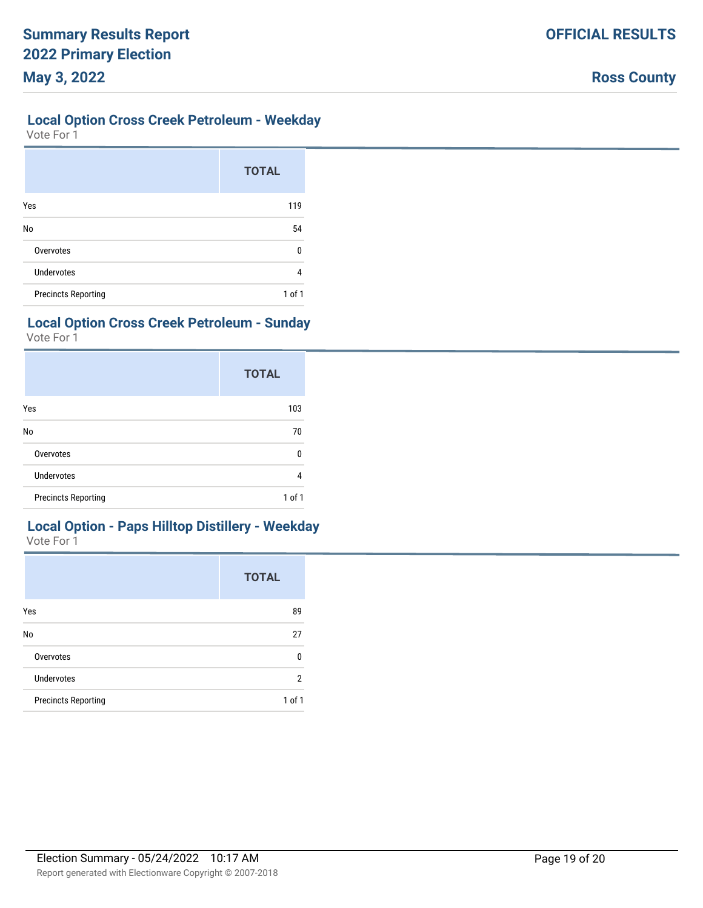#### **Local Option Cross Creek Petroleum - Weekday**

Vote For 1

|                            | <b>TOTAL</b> |
|----------------------------|--------------|
| Yes                        | 119          |
| No                         | 54           |
| Overvotes                  | 0            |
| <b>Undervotes</b>          | 4            |
| <b>Precincts Reporting</b> | $1$ of $1$   |

# **Local Option Cross Creek Petroleum - Sunday**

Vote For 1

|                            | <b>TOTAL</b> |
|----------------------------|--------------|
| Yes                        | 103          |
| No                         | 70           |
| Overvotes                  | 0            |
| <b>Undervotes</b>          | 4            |
| <b>Precincts Reporting</b> | $1$ of $1$   |

# **Local Option - Paps Hilltop Distillery - Weekday**

|                            | <b>TOTAL</b> |
|----------------------------|--------------|
| Yes                        | 89           |
| No                         | 27           |
| Overvotes                  | 0            |
| <b>Undervotes</b>          | 2            |
| <b>Precincts Reporting</b> | $1$ of $1$   |